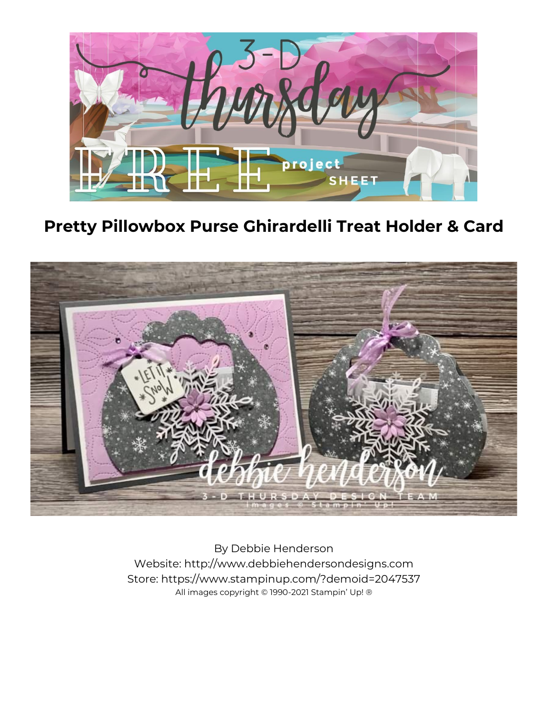

**Pretty Pillowbox Purse Ghirardelli Treat Holder & Card**



By Debbie Henderson Website: http://www.debbiehendersondesigns.com Store: https://www.stampinup.com/?demoid=2047537 All images copyright © 1990-2021 Stampin' Up! ®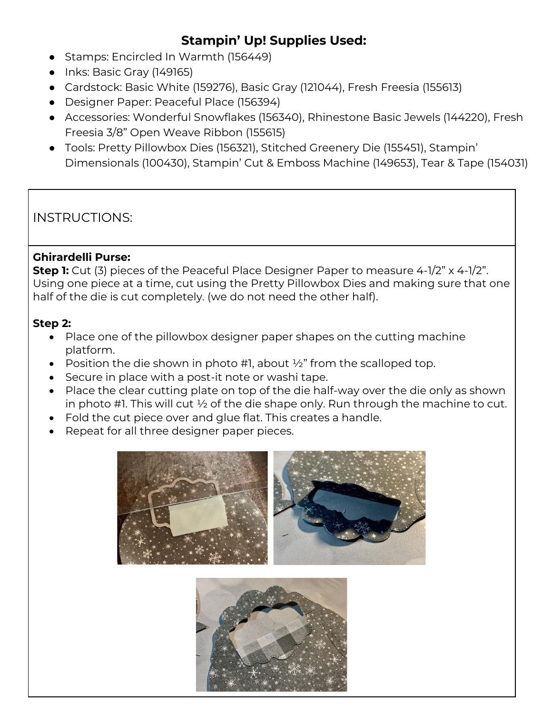# **Stampin' Up! Supplies Used:**

- Stamps: Encircled In Warmth (156449)
- Inks: Basic Gray (149165)
- Cardstock: Basic White (159276), Basic Gray (121044), Fresh Freesia (155613)
- Designer Paper: Peaceful Place (156394)
- Accessories: Wonderful Snowflakes (156340), Rhinestone Basic Jewels (144220), Fresh Freesia 3/8" Open Weave Ribbon (155615)
- Tools: Pretty Pillowbox Dies (156321), Stitched Greenery Die (155451), Stampin' Dimensionals (100430), Stampin' Cut & Emboss Machine (149653), Tear & Tape (154031)

# INSTRUCTIONS:

#### **Ghirardelli Purse:**

**Step 1:** Cut (3) pieces of the Peaceful Place Designer Paper to measure 4-1/2" x 4-1/2". Using one piece at a time, cut using the Pretty Pillowbox Dies and making sure that one half of the die is cut completely. (we do not need the other half).

#### **Step 2:**

- Place one of the pillowbox designer paper shapes on the cutting machine platform.
- Position the die shown in photo #1, about  $\frac{1}{2}$ " from the scalloped top.
- Secure in place with a post-it note or washi tape.
- Place the clear cutting plate on top of the die half-way over the die only as shown in photo #1. This will cut ½ of the die shape only. Run through the machine to cut.
- Fold the cut piece over and glue flat. This creates a handle.
- Repeat for all three designer paper pieces.



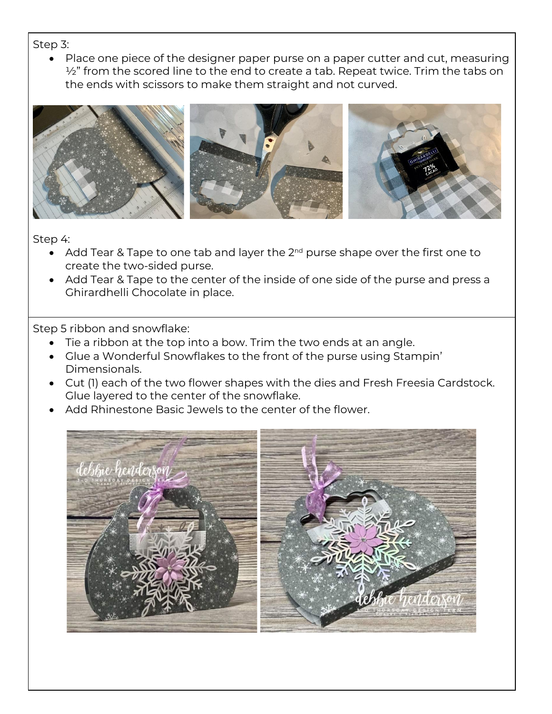Step 3:

Place one piece of the designer paper purse on a paper cutter and cut, measuring  $\frac{1}{2}$ " from the scored line to the end to create a tab. Repeat twice. Trim the tabs on the ends with scissors to make them straight and not curved.



Step 4:

- Add Tear & Tape to one tab and layer the  $2<sup>nd</sup>$  purse shape over the first one to create the two-sided purse.
- Add Tear & Tape to the center of the inside of one side of the purse and press a Ghirardhelli Chocolate in place.

Step 5 ribbon and snowflake:

- Tie a ribbon at the top into a bow. Trim the two ends at an angle.
- Glue a Wonderful Snowflakes to the front of the purse using Stampin' Dimensionals.
- Cut (1) each of the two flower shapes with the dies and Fresh Freesia Cardstock. Glue layered to the center of the snowflake.
- Add Rhinestone Basic Jewels to the center of the flower.